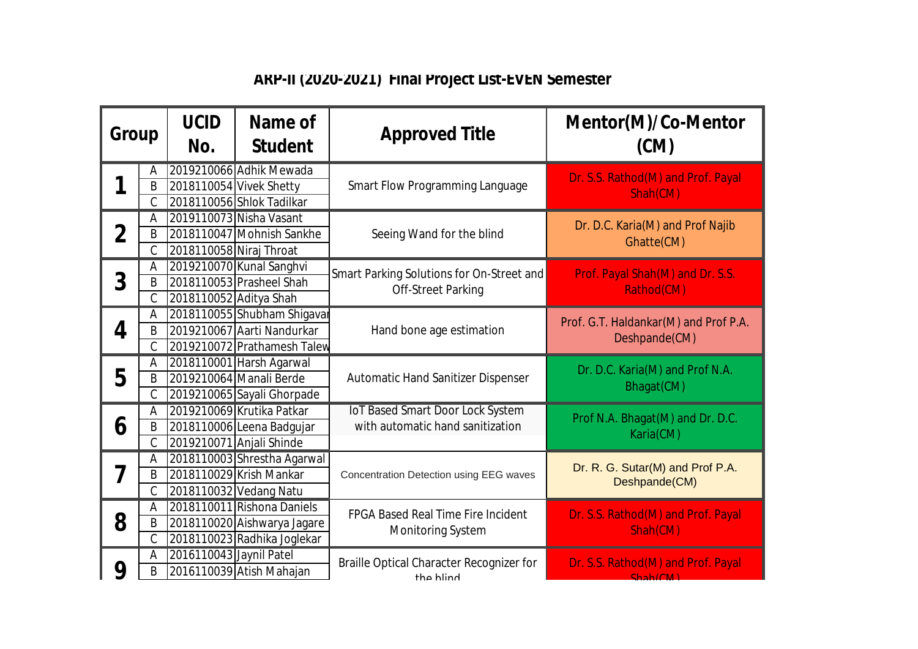## **ARP-II (2020-2021) Final Project List-EVEN Semester**

| Group |                    | <b>UCID</b><br>No.      | Name of<br><b>Student</b>                               | <b>Approved Title</b>                                                                                                    | Mentor(M)/Co-Mentor<br>(CM)                                                                    |
|-------|--------------------|-------------------------|---------------------------------------------------------|--------------------------------------------------------------------------------------------------------------------------|------------------------------------------------------------------------------------------------|
|       | Α                  |                         | 2019210066 Adhik Mewada                                 | <b>Smart Flow Programming Language</b>                                                                                   | Dr. S.S. Rathod(M) and Prof. Payal<br>Shah(CM)                                                 |
|       | B<br>$\mathcal{C}$ |                         | 2018110054 Vivek Shetty<br>2018110056 Shlok Tadilkar    |                                                                                                                          |                                                                                                |
|       | A                  |                         | 2019110073 Nisha Vasant                                 |                                                                                                                          |                                                                                                |
| 2     | B                  |                         | 2018110047 Mohnish Sankhe                               | Seeing Wand for the blind                                                                                                | Dr. D.C. Karia(M) and Prof Najib<br>Ghatte(CM)                                                 |
|       | C                  | 2018110058 Niraj Throat |                                                         |                                                                                                                          |                                                                                                |
| 3     | A                  |                         | 2019210070 Kunal Sanghvi                                | Smart Parking Solutions for On-Street and<br><b>Off-Street Parking</b>                                                   | Prof. Payal Shah(M) and Dr. S.S.<br>Rathod(CM)                                                 |
|       | B                  |                         | 2018110053 Prasheel Shah                                |                                                                                                                          |                                                                                                |
|       | $\mathcal{C}$      | 2018110052 Aditya Shah  |                                                         |                                                                                                                          |                                                                                                |
|       | A                  |                         | 2018110055 Shubham Shigavar                             | Hand bone age estimation                                                                                                 | Prof. G.T. Haldankar(M) and Prof P.A.<br>Deshpande(CM)                                         |
| 4     | B                  |                         | 2019210067 Aarti Nandurkar                              |                                                                                                                          |                                                                                                |
|       | $\mathsf C$        |                         | 2019210072 Prathamesh Talew                             |                                                                                                                          |                                                                                                |
|       | A                  |                         | 2018110001 Harsh Agarwal                                | <b>Automatic Hand Sanitizer Dispenser</b><br><b>IoT Based Smart Door Lock System</b><br>with automatic hand sanitization | Dr. D.C. Karia(M) and Prof N.A.<br>Bhagat(CM)<br>Prof N.A. Bhagat(M) and Dr. D.C.<br>Karia(CM) |
| 5     | B                  |                         | 2019210064 Manali Berde                                 |                                                                                                                          |                                                                                                |
|       | $\mathcal{C}$<br>A |                         | 2019210065 Sayali Ghorpade<br>2019210069 Krutika Patkar |                                                                                                                          |                                                                                                |
| 6     | B                  |                         | 2018110006 Leena Badgujar                               |                                                                                                                          |                                                                                                |
|       | $\mathsf C$        |                         | 2019210071 Anjali Shinde                                |                                                                                                                          |                                                                                                |
|       | A                  |                         | 2018110003 Shrestha Agarwal                             |                                                                                                                          |                                                                                                |
| 7     | B                  |                         | 2018110029 Krish Mankar                                 | Concentration Detection using EEG waves                                                                                  | Dr. R. G. Sutar(M) and Prof P.A.<br>Deshpande(CM)                                              |
|       | $\mathcal{C}$      |                         | 2018110032 Vedang Natu                                  |                                                                                                                          |                                                                                                |
|       | A                  |                         | 2018110011 Rishona Daniels                              | <b>FPGA Based Real Time Fire Incident</b><br><b>Monitoring System</b>                                                    | Dr. S.S. Rathod(M) and Prof. Payal<br>Shah(CM)                                                 |
| 8     | B                  |                         | 2018110020 Aishwarya Jagare                             |                                                                                                                          |                                                                                                |
|       | $\mathcal{C}$      |                         | 2018110023 Radhika Joglekar                             |                                                                                                                          |                                                                                                |
|       | A                  | 2016110043 Jaynil Patel |                                                         | Braille Optical Character Recognizer for                                                                                 | Dr. S.S. Rathod(M) and Prof. Payal                                                             |
| 9     | B                  |                         | 2016110039 Atish Mahajan                                | the hlind                                                                                                                | Shah(CMA)                                                                                      |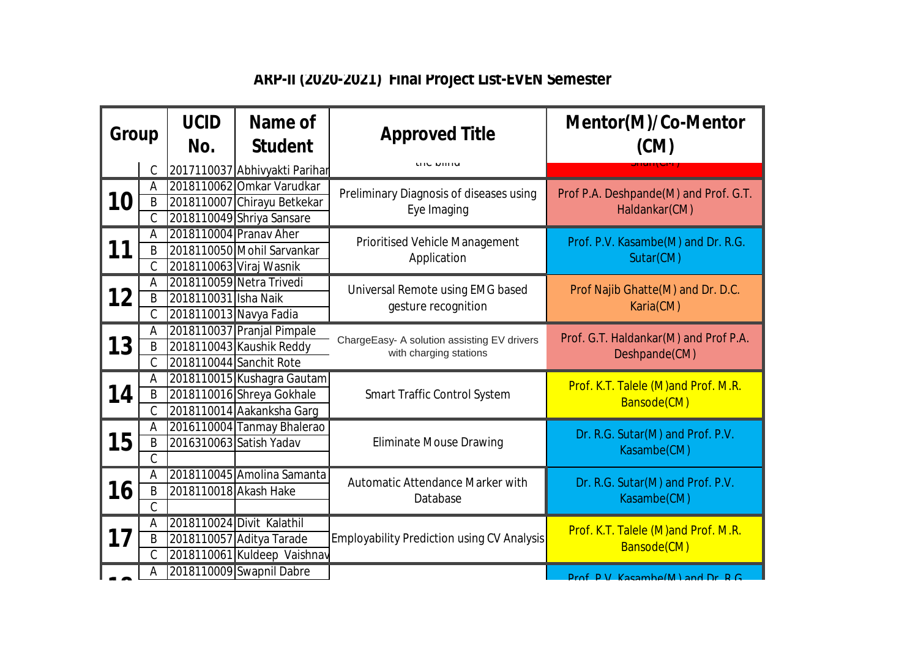## **ARP-II (2020-2021) Final Project List-EVEN Semester**

| Group     |               | <b>UCID</b><br>No.     | Name of<br><b>Student</b>     | <b>Approved Title</b>                                                 | Mentor(M)/Co-Mentor<br>(CM)                            |
|-----------|---------------|------------------------|-------------------------------|-----------------------------------------------------------------------|--------------------------------------------------------|
|           | C             |                        | 2017110037 Abhivyakti Parihar | <b>UIC DIIIN</b>                                                      |                                                        |
| <b>10</b> | А             |                        | 2018110062 Omkar Varudkar     | Preliminary Diagnosis of diseases using<br>Eye Imaging                | Prof P.A. Deshpande(M) and Prof. G.T.<br>Haldankar(CM) |
|           | B             |                        | 2018110007 Chirayu Betkekar   |                                                                       |                                                        |
|           | C             |                        | 2018110049 Shriya Sansare     |                                                                       |                                                        |
| 11        | Α             |                        | 2018110004 Pranav Aher        | <b>Prioritised Vehicle Management</b><br>Application                  | Prof. P.V. Kasambe(M) and Dr. R.G.<br>Sutar(CM)        |
|           | B             |                        | 2018110050 Mohil Sarvankar    |                                                                       |                                                        |
|           | С             |                        | 2018110063 Viraj Wasnik       |                                                                       |                                                        |
| 12        | A             |                        | 2018110059 Netra Trivedi      | Universal Remote using EMG based<br>gesture recognition               | Prof Najib Ghatte(M) and Dr. D.C.<br>Karia(CM)         |
|           | B             | 2018110031 Isha Naik   |                               |                                                                       |                                                        |
|           | $\mathcal{C}$ | 2018110013 Navya Fadia |                               |                                                                       |                                                        |
| 13        | Α             |                        | 2018110037 Pranjal Pimpale    | ChargeEasy- A solution assisting EV drivers<br>with charging stations | Prof. G.T. Haldankar(M) and Prof P.A.<br>Deshpande(CM) |
|           | B             |                        | 2018110043 Kaushik Reddy      |                                                                       |                                                        |
|           | Ć             |                        | 2018110044 Sanchit Rote       |                                                                       |                                                        |
|           | A             |                        | 2018110015 Kushagra Gautam    | <b>Smart Traffic Control System</b>                                   | Prof. K.T. Talele (M) and Prof. M.R.<br>Bansode(CM)    |
| 14        | B             |                        | 2018110016 Shreya Gokhale     |                                                                       |                                                        |
|           | C             |                        | 2018110014 Aakanksha Garg     |                                                                       |                                                        |
|           | Α             |                        | 2016110004 Tanmay Bhalerao    | <b>Eliminate Mouse Drawing</b>                                        | Dr. R.G. Sutar(M) and Prof. P.V.<br>Kasambe(CM)        |
| 15        | B             |                        | 2016310063 Satish Yadav       |                                                                       |                                                        |
|           | C             |                        |                               |                                                                       |                                                        |
|           | A             |                        | 2018110045 Amolina Samanta    | Automatic Attendance Marker with<br>Database                          | Dr. R.G. Sutar(M) and Prof. P.V.<br>Kasambe(CM)        |
| 16        | B             | 2018110018 Akash Hake  |                               |                                                                       |                                                        |
|           | C             |                        |                               |                                                                       |                                                        |
| 17        | Α             |                        | 2018110024 Divit Kalathil     | <b>Employability Prediction using CV Analysis</b>                     | Prof. K.T. Talele (M)and Prof. M.R.<br>Bansode(CM)     |
|           | B             |                        | 2018110057 Aditya Tarade      |                                                                       |                                                        |
|           | Ć             |                        | 2018110061 Kuldeep Vaishnav   |                                                                       |                                                        |
|           | Α             |                        | 2018110009 Swapnil Dabre      |                                                                       | $Drof$ DV Kasambo(M) and Dr DC                         |
|           |               |                        |                               |                                                                       |                                                        |